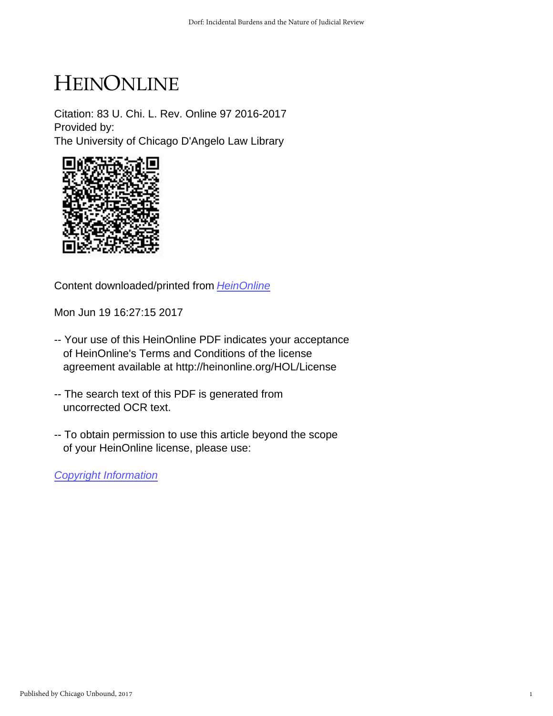# HEINONLINE

Citation: 83 U. Chi. L. Rev. Online 97 2016-2017 Provided by: The University of Chicago D'Angelo Law Library



Content downloaded/printed from [HeinOnline](http://heinonline.org/HOL/Page?handle=hein.journals/uchidial83&collection=journals&id=97&startid=&endid=112)

Mon Jun 19 16:27:15 2017

- -- Your use of this HeinOnline PDF indicates your acceptance of HeinOnline's Terms and Conditions of the license agreement available at http://heinonline.org/HOL/License
- -- The search text of this PDF is generated from uncorrected OCR text.
- -- To obtain permission to use this article beyond the scope of your HeinOnline license, please use:

[Copyright Information](https://www.copyright.com/ccc/basicSearch.do?operation=go&searchType=0&lastSearch=simple&all=on&titleOrStdNo=0041-9494)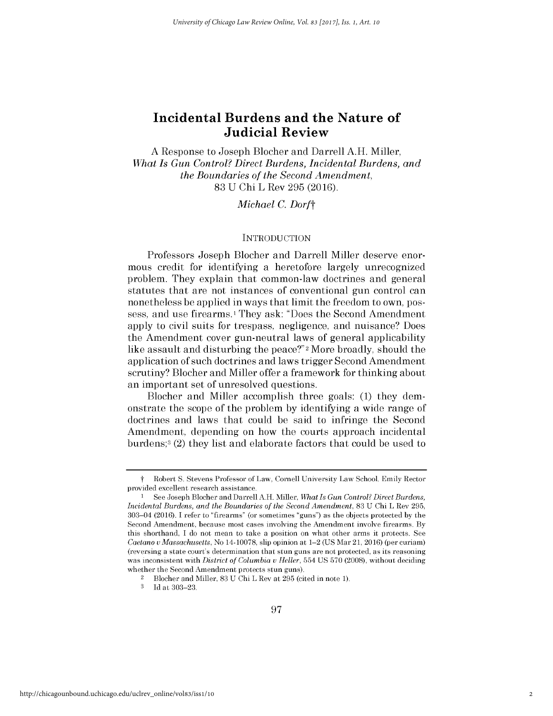**A** Response to Joseph Blocher and Darrell **A.H.** Miller, *What Is Gun Control? Direct Burdens, Incidental Burdens, and the Boundaries of the Second Amendment,* **83 U Chi** L Rev **295 (2016).**

*Michael C. Dorft*

### **INTRODUCTION**

Professors Joseph Blocher and Darrell Miller deserve enormous credit for identifying a heretofore largely unrecognized problem. They explain that common-law doctrines and general statutes that are not instances of conventional gun control can nonetheless be applied in ways that limit the freedom to own, possess, and use firearms.<sup>1</sup> They ask: "Does the Second Amendment apply to civil suits for trespass, negligence, and nuisance? Does the Amendment cover gun-neutral laws of general applicability like assault and disturbing the peace?"2 More broadly, should the application of such doctrines and laws trigger Second Amendment scrutiny? Blocher and Miller offer a framework for thinking about an important set of unresolved questions.

Blocher and Miller accomplish three goals: **(1)** they demonstrate the scope of the problem **by** identifying a wide range of doctrines and laws that could be said to infringe the Second Amendment, depending on how the courts approach incidental burdens;3 (2) they list and elaborate factors that could be used to

**3 Id** at **303-23.**

t Robert **S.** Stevens Professor of Law, Cornell University Law School. Emily Rector provided excellent research assistance.

<sup>1</sup>**See** Joseph Blocher and Darrell **A.H.** Miller, *What Is Gun Control? Direct Burdens, Incidental Burdens, and the Boundaries of the Second Amendment,* **83 U** Chi L Rev **295,** 303-04 (2016). I refer to "firearms" (or sometimes "guns") as the objects protected **by** the Second Amendment, because most cases involving the Amendment involve firearms. **By** this shorthand, **I** do not mean to take a position on what other arms it protects. **See** *Caetano uMassachusetts,* No **14-10078,** slip opinion at 1-2 **(US** Mar 21, 2016) (per curiam) (reversing a state court's determination that stun guns are not protected, as its reasoning was inconsistent with *District of Columbia u Heller,* 554 **US 570 (2008),** without deciding whether the Second Amendment protects stun guns).

<sup>2</sup>Blocher and Miller, **83 U** Chi L Rev at **295** (cited in note **1).**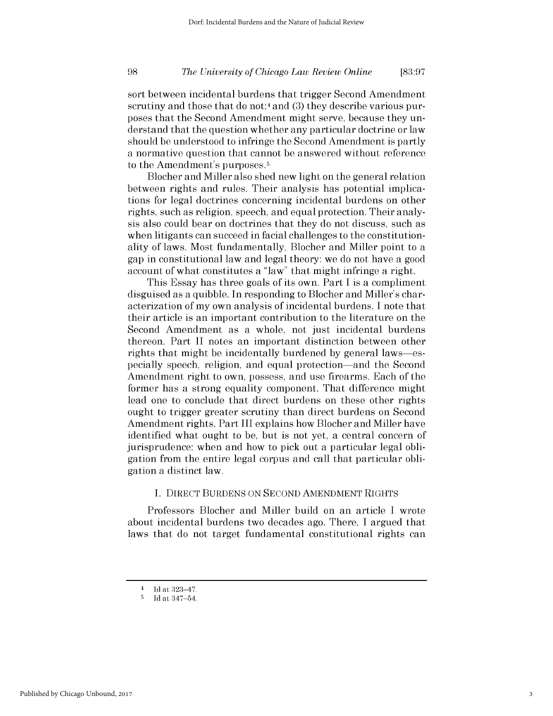# *The University of Chicago Law Review Online* **98 [83:97**

sort between incidental burdens that trigger Second Amendment scrutiny and those that do not;4 and **(3)** they describe various purposes that the Second Amendment might serve, because they understand that the question whether any particular doctrine or law should be understood to infringe the Second Amendment is partly a normative question that cannot be answered without reference to the Amendment's purposes.<sup>5</sup>

Blocher and Miller also shed new light on the general relation between rights and rules. Their analysis has potential implications for legal doctrines concerning incidental burdens on other rights, such as religion, speech, and equal protection. Their analysis also could bear on doctrines that they do not discuss, such as when litigants can succeed in facial challenges to the constitutionality of laws. Most fundamentally, Blocher and Miller point to a gap in constitutional law and legal theory: we do not have a good account of what constitutes a "law" that might infringe a right.

This Essay has three goals of its own. Part **I** is a compliment disguised as a quibble. In responding to Blocher and Miller's characterization of my own analysis of incidental burdens, **I** note that their article is an important contribution to the literature on the Second Amendment as a whole, not just incidental burdens thereon. Part II notes an important distinction between other rights that might be incidentally burdened **by** general laws-especially speech, religion, and equal protection-and the Second Amendment right to own, possess, and use firearms. Each of the former has a strong equality component. That difference might lead one to conclude that direct burdens on these other rights ought to trigger greater scrutiny than direct burdens on Second Amendment rights. Part **III** explains how Blocher and Miller have identified what ought to be, but is not yet, a central concern of jurisprudence: when and how to pick out a particular legal obligation from the entire legal corpus and call that particular obligation a distinct law.

### **I.** DIRECT **BURDENS ON SECOND AMENDMENT** RIGHTS

Professors Blocher and Miller build on an article **I** wrote about incidental burdens two decades ago. There, **I** argued that laws that do not target fundamental constitutional rights can

 $\frac{4}{5}$  Id at 323-47.

**<sup>5</sup> Id** at 347-54.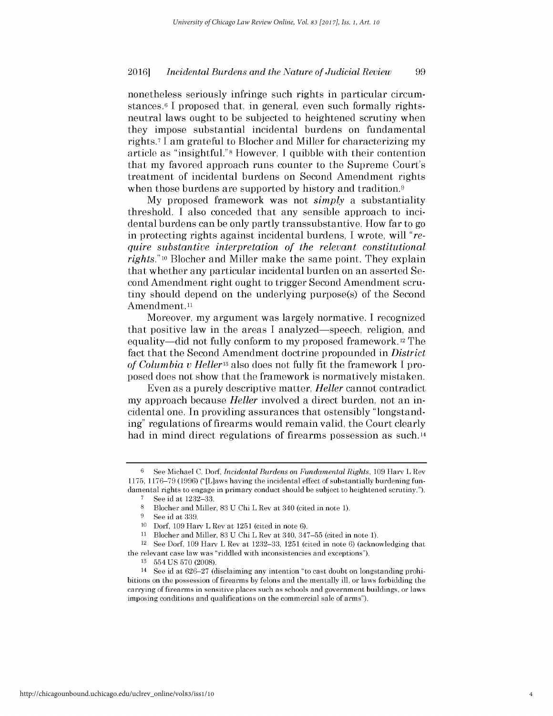nonetheless seriously infringe such rights in particular circumstances.<sup>6</sup>**I** proposed that, in general, even such formally rightsneutral laws ought to be subjected to heightened scrutiny when they impose substantial incidental burdens on fundamental rights.7 **I** am grateful to Blocher and Miller for characterizing my article as "insightful."8 However, **I** quibble with their contention that my favored approach runs counter to the Supreme Court's treatment of incidental burdens on Second Amendment rights when those burdens are supported by history and tradition.<sup>9</sup>

**My** proposed framework was not *simply* a substantiality threshold. **I** also conceded that any sensible approach to incidental burdens can be only partly transsubstantive. How far to go in protecting rights against incidental burdens, **I** wrote, will *"require substantive interpretation of the relevant constitutional rights." 10* Blocher and Miller make the same point. They explain that whether any particular incidental burden on an asserted Second Amendment right ought to trigger Second Amendment scrutiny should depend on the underlying purpose(s) of the Second Amendment.<sup>11</sup>

Moreover, my argument was largely normative. **I** recognized that positive law in the areas **I** analyzed-speech, religion, and equality-did not fully conform to my proposed framework. 12 The fact that the Second Amendment doctrine propounded in *District of Columbia v Hellerl3* also does not fully fit the framework **I** proposed does not show that the framework is normatively mistaken.

Even as a purely descriptive matter, *Heller* cannot contradict my approach because *Heller* involved a direct burden, not an incidental one. In providing assurances that ostensibly "longstanding" regulations of firearms would remain valid, the Court clearly had in mind direct regulations of firearms possession as such.<sup>14</sup>

**<sup>6</sup>**See Michael **C.** Dorf, *Incidental Burdens on Fundamental Rights,* **109** Harv L Rev **1175, 1176-79 (1996)** ("[L]aws having the incidental effect of substantially burdening fundamental rights to engage in primary conduct should **be** subject to heightened scrutiny.").

**<sup>7</sup>** See id at **1232-33.**

**<sup>8</sup>**Blocher and Miller, **83 U** Chi L Rev at 340 (cited in note **1).**

**<sup>9</sup> See** id at **339.**

**<sup>10</sup>**Dorf, **109** Harv L Rev at **1251** (cited in note **6).**

**<sup>11</sup>**Blocher and Miller, **83 U** Chi L Rev at 340, **347-55** (cited in note **1).**

<sup>12</sup>**See** Dorf, **109** Harv L Rev at **1232-33, 1251** (cited in note **6)** (acknowledging that the relevant case law was "riddled with inconsistencies and exceptions").

**<sup>13</sup>**554 **US 570 (2008).**

<sup>14</sup> **See** id at **626-27** (disclaiming any intention "to cast doubt on longstanding prohibitions on the possession of firearms **by** felons and the mentally ill, or laws forbidding the carrying of firearms in sensitive places such as schools and government buildings, or laws imposing conditions and qualifications on the commercial sale of arms").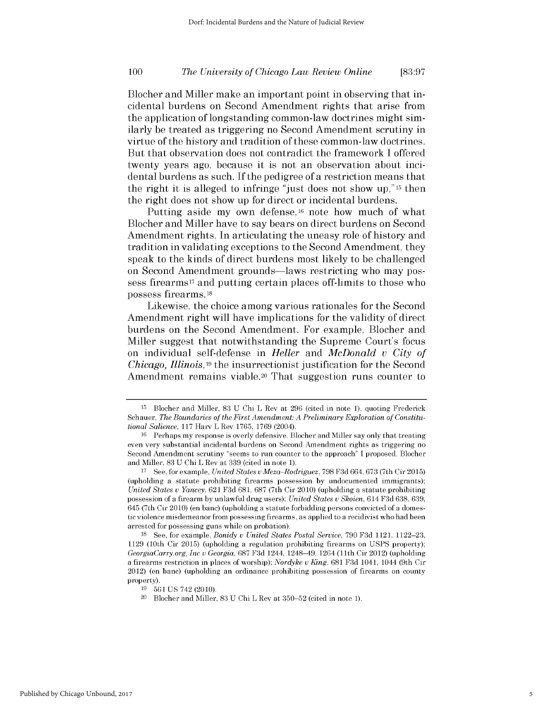#### **100** *The University of Chicago Law Review Online* **[83:97**

Blocher and Miller make an important point in observing that incidental burdens on Second Amendment rights that arise from the application of longstanding common-law doctrines might similarly be treated as triggering no Second Amendment scrutiny in virtue of the history and tradition of these common-law doctrines. But that observation does not contradict the framework **I** offered twenty years ago, because it is not an observation about incidental burdens as such. **If** the pedigree of a restriction means that the right it is alleged to infringe "just does not show **Up," 15** then the right does not show up for direct or incidental burdens.

Putting aside my own defense,16 note how much of what Blocher and Miller have to say bears on direct burdens on Second Amendment rights. In articulating the uneasy role of history and tradition in validating exceptions to the Second Amendment, they speak to the kinds of direct burdens most likely to be challenged on Second Amendment grounds-laws restricting who may possess firearms<sup>17</sup> and putting certain places off-limits to those who possess firearms.18

Likewise, the choice among various rationales for the Second Amendment right will have implications for the validity of direct burdens on the Second Amendment. For example, Blocher and Miller suggest that notwithstanding the Supreme Court's focus on individual self-defense in *Heller and McDonald v City of Chicago, Illinois,19* the insurrectionist justification for the Second Amendment remains viable.<sup>20</sup> That suggestion runs counter to

**<sup>15</sup>**Blocher and Miller, **83 U** Chi L Rev at **296** (cited in note **1),** quoting Frederick Schauer, *The Boundaries of the First Amendment: A Preliminary Exploration of Constitutional Salience,* **117** Harv L Rev **1765, 1769** (2004).

<sup>&</sup>lt;sup>16</sup> Perhaps my response is overly defensive. Blocher and Miller say only that treating even very substantial incidental burdens on Second Amendment rights as triggering no Second Amendment scrutiny "seems to run counter to the approach" **I** proposed. Blocher and Miller, **83 U** Chi L Rev at **339** (cited in note **1).**

**<sup>17</sup>**See, for example, *United States v Meza-Rodriguez,* **798 F3d** 664, **673** (7th Cir **2015)** (upholding a statute prohibiting firearms possession **by** undocumented immigrants); *United States v Yancey,* 621 **F3d 681, 687** (7th Cir 2010) (upholding a statute prohibiting possession of a firearm **by** unlawful drug users); *United States v Skoien, 614* **F3d 638, 639,** 645 (7th Cir 2010) (en banc) (upholding a statute forbidding persons convicted of a domestic violence misdemeanor from possessing firearms, as applied to a recidivist who had been arrested for possessing guns while on probation).

**<sup>18</sup>See,** for example, *Bonidy v United States Postal Service,* **790 F3d** 1121, **1122-23, 1129** (10th Cir **2015)** (upholding a regulation prohibiting firearms on **USPS** property); *GeorgiaCarry.org, Inc v Georgia,* 687 **F3d** 1244, 1248-49, 1264 **(11th** Cir 2012) (upholding a firearms restriction in places of worship); *Nordyke v King,* 681 **F3d** 1041, 1044 (9th Cir 2012) (en banc) (upholding an ordinance prohibiting possession of firearms on county property).

**<sup>19</sup>561 US 742 (2010).**

<sup>20</sup> Blocher and Miller, **83 U** Chi L Rev at **350-52** (cited in note **1).**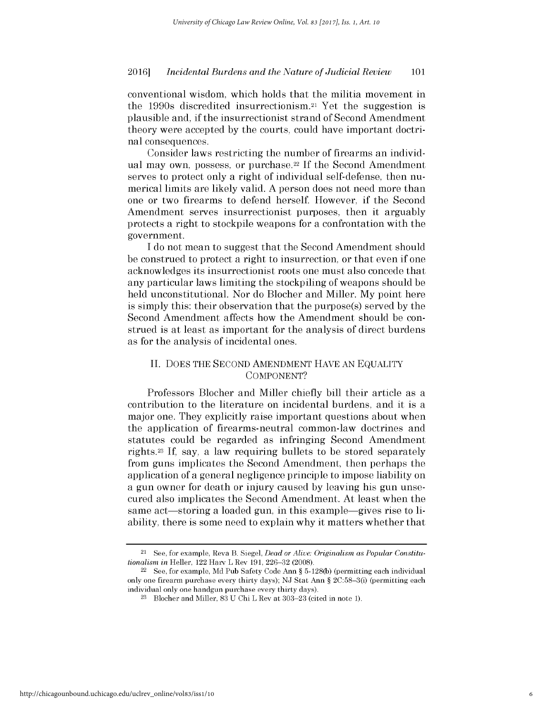conventional wisdom, which holds that the militia movement in the 1990s discredited insurrectionism.21 Yet the suggestion **is** plausible and, **if** the insurrectionist strand of Second Amendment theory were accepted **by** the courts, could have important doctrinal consequences.

Consider laws restricting the number of firearms an individual may own, possess, or purchase.22 **If** the Second Amendment serves to protect only a right of individual self-defense, then numerical limits are likely valid. **A** person does not need more than one or two firearms to defend herself. However, **if** the Second Amendment serves insurrectionist purposes, then it arguably protects a right to stockpile weapons for a confrontation with the government.

**<sup>I</sup>**do not mean to suggest that the Second Amendment should be construed to protect a right to insurrection, or that even **if** one acknowledges its insurrectionist roots one must also concede that any particular laws limiting the stockpiling of weapons should be held unconstitutional. Nor do Blocher and Miller. **My** point here is simply this: their observation that the purpose(s) served **by** the Second Amendment affects how the Amendment should be construed is at least as important for the analysis of direct burdens as for the analysis of incidental ones.

# **II. DOES** THE **SECOND AMENDMENT HAVE AN EQUALITY COMPONENT?**

Professors Blocher and Miller chiefly **bill** their article as a contribution to the literature on incidental burdens, and it is a major one. They explicitly raise important questions about when the application of firearms-neutral common-law doctrines and statutes could be regarded as infringing Second Amendment rights.23 **If,** say, a law requiring bullets to be stored separately from guns implicates the Second Amendment, then perhaps the application of a general negligence principle to impose liability on a gun owner for death or injury caused **by** leaving his gun unsecured also implicates the Second Amendment. At least when the same act—storing a loaded gun, in this example—gives rise to liability, there is some need to explain why it matters whether that

<sup>21</sup> See, for example, Reva B. Siegel, *Dead or Alive: Originalism as Popular Constitutionalism in* Heller, 122 Harv L Rev **191,** 226-32 **(2008).**

<sup>22</sup>See, for example, **Md** Pub Safety Code Ann *§* **5-128(b)** (permitting each individual only one firearm purchase every thirty days); **NJ** Stat Ann *§* 2C:58-3(i) (permitting each individual only one handgun purchase every thirty days).

**<sup>23</sup>**Blocher and Miller, **83 U** Chi L Rev at **303-23** (cited in note **1).**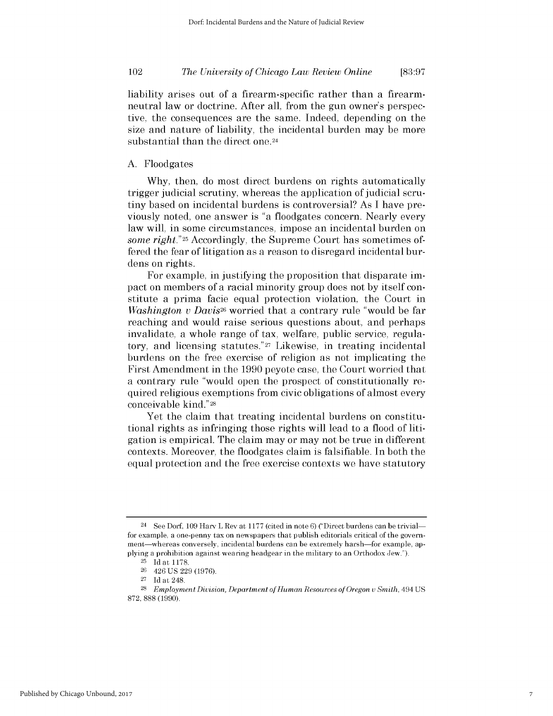liability arises out of a firearm-specific rather than a firearmneutral law or doctrine. After all, from the gun owner's perspective, the consequences are the same. Indeed, depending on the size and nature of liability, the incidental burden may be more substantial than the direct one.<sup>24</sup>

# **A.** Floodgates

**Why,** then, do most direct burdens on rights automatically trigger judicial scrutiny, whereas the application of judicial scrutiny based on incidental burdens is controversial? As **I** have previously noted, one answer is "a floodgates concern. Nearly every law will, in some circumstances, impose an incidental burden on *some right."25* Accordingly, the Supreme Court has sometimes offered the fear of litigation as a reason to disregard incidental burdens on rights.

For example, in justifying the proposition that disparate **im**pact on members of a racial minority group does not **by** itself constitute a prima facie equal protection violation, the Court in *Washington v Davis26* worried that a contrary rule "would be far reaching and would raise serious questions about, and perhaps invalidate, a whole range of tax, welfare, public service, regulatory, and licensing statutes."27 Likewise, in treating incidental burdens on the free exercise of religion as not implicating the First Amendment in the **1990** peyote case, the Court worried that a contrary rule "would open the prospect of constitutionally required religious exemptions from civic obligations of almost every conceivable kind."28

Yet the claim that treating incidental burdens on constitutional rights as infringing those rights will lead to a flood of litigation is empirical. The claim may or may not be true in different contexts. Moreover, the floodgates claim is falsifiable. In both the equal protection and the free exercise contexts we have statutory

<sup>24</sup> See Dorf, **109** Harv L Rev at **1177** (cited in note **6)** ("Direct burdens can **be** trivialfor example, a one-penny tax on newspapers that publish editorials critical of the government-whereas conversely, incidental burdens can **be** extremely harsh-for example, applying a prohibition against wearing headgear in the military to an Orthodox Jew.").

**<sup>25</sup>Id** at **1178.**

**<sup>26</sup>**426 **US 229 (1976).**

**<sup>27</sup>Id** at 248.

**<sup>28</sup>***Employment Division, Department of Human Resources of Oregon v Smith,* 494 **US 872, 888 (1990).**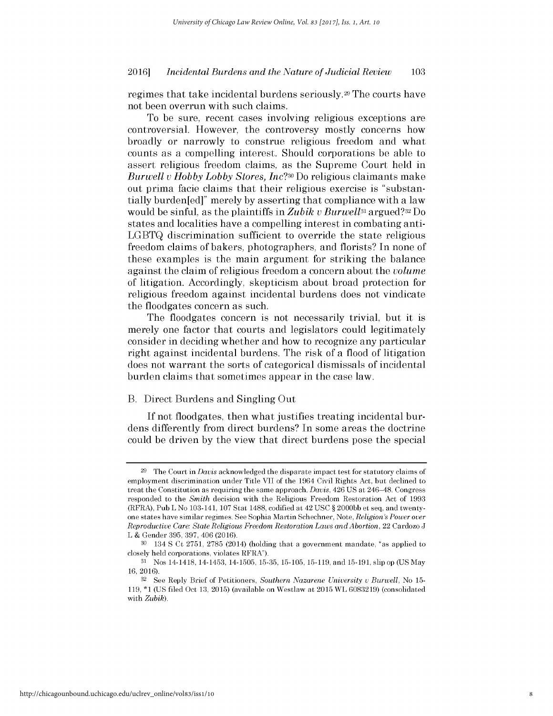regimes that take incidental burdens seriously.29 The courts have not been overrun with such claims.

To be sure, recent cases involving religious exceptions are controversial. However, the controversy mostly concerns how broadly or narrowly to construe religious freedom and what counts as a compelling interest. Should corporations be able to assert religious freedom claims, as the Supreme Court held in *Burwell v Hobby Lobby Stores, Inc?30* Do religious claimants make out prima facie claims that their religious exercise is "substantially burden[ed]" merely **by** asserting that compliance with a law would be sinful, as the plaintiffs in *Zubik v Burwell3i* argued?32 Do states and localities have a compelling interest in combating anti-**LGBTQ** discrimination sufficient to override the state religious freedom claims of bakers, photographers, and florists? In none of these examples is the main argument for striking the balance against the claim of religious freedom a concern about the *volume* of litigation. Accordingly, skepticism about broad protection for religious freedom against incidental burdens does not vindicate the floodgates concern as such.

The floodgates concern is not necessarily trivial, but it **is** merely one factor that courts and legislators could legitimately consider in deciding whether and how to recognize any particular right against incidental burdens. The risk of a flood of litigation does not warrant the sorts of categorical dismissals of incidental burden claims that sometimes appear in the case law.

### B. Direct Burdens and Singling Out

**If** not floodgates, then what justifies treating incidental burdens differently from direct burdens? In some areas the doctrine could be driven **by** the view that direct burdens pose the special

**<sup>29</sup>**The Court in *Davis* acknowledged the disparate impact test for statutory claims of employment discrimination under Title VII of the 1964 Civil Rights Act, but declined to treat the Constitution as requiring the same approach. *Davis,* 426 **US** at 246-48. Congress responded to the *Smith* decision with the Religious Freedom Restoration Act of **1993** (RFRA), Pub L No 103-141, **107** Stat **1488,** codified at 42 **USC** *§* **2000bb** et seq, and twentyone states have similar regimes. **See** Sophia Martin Schechner, Note, *Religion's Power over Reproductive Care: State Religious Freedom Restoration Laws and Abortion,* 22 Cardozo **J** L **&** Gender **395, 397,** 406 (2016).

**<sup>30</sup>**134 **S** Ct **2751, 2785** (2014) (holding that a government mandate, "as applied to closely **held** corporations, violates RFRA").

**<sup>31</sup>**Nos 14-1418, 14-1453, 14-1505, **15-35, 15-105, 15-119,** and **15-191,** slip op **(US** May 16, 2016).

**<sup>32</sup>See Reply** Brief of Petitioners, *Southern Nazarene University v Burwell,* No **15- 119, \*1 (US filed** Oct **13, 2015)** (available on Westlaw at **2015** WL **6083219)** (consolidated with *Zubik).*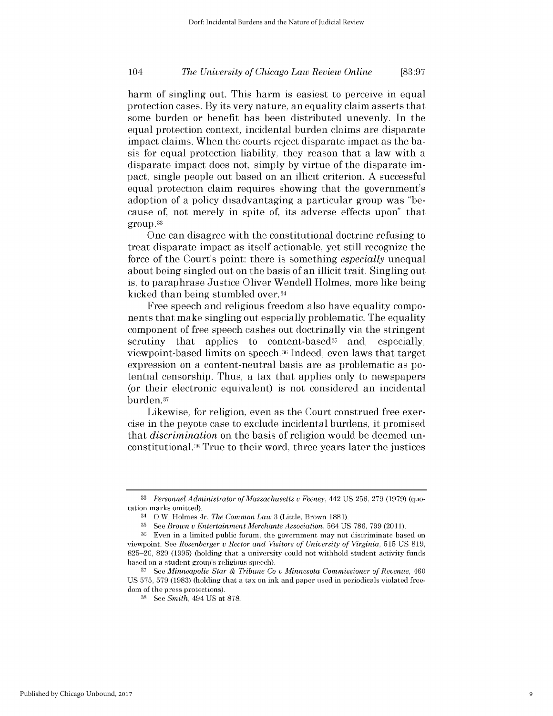# *The University of Chicago Law Review Online* 104 **[83:97**

harm of singling out. This harm is easiest to perceive in equal protection cases. **By** its very nature, an equality claim asserts that some burden or benefit has been distributed unevenly. In the equal protection context, incidental burden claims are disparate impact claims. When the courts reject disparate impact as the basis for equal protection liability, they reason that a law with a disparate impact does not, simply **by** virtue of the disparate **im**pact, single people out based on an illicit criterion. **A** successful equal protection claim requires showing that the government's adoption of a policy disadvantaging a particular group was "because of, not merely in spite of, its adverse effects upon" that group. <sup>33</sup>

One can disagree with the constitutional doctrine refusing to treat disparate impact as itself actionable, yet still recognize the force of the Court's point: there is something *especially* unequal about being singled out on the basis of an illicit trait. Singling out is, to paraphrase Justice Oliver Wendell Holmes, more like being kicked than being stumbled over. <sup>34</sup>

Free speech and religious freedom also have equality **compo**nents that make singling out especially problematic. The equality component of free speech cashes out doctrinally via the stringent scrutiny that applies to content-based<sup>35</sup> and, especially, viewpoint-based limits on speech. 36 Indeed, even laws that target expression on a content-neutral basis are as problematic as potential censorship. Thus, a tax that applies only to newspapers (or their electronic equivalent) is not considered an incidental burden.37

Likewise, for religion, even as the Court construed free exercise in the peyote case to exclude incidental burdens, it promised *that discrimination* on the basis of religion would be deemed unconstitutional. **38** True to their word, three years later the justices

**<sup>33</sup>** *Personnel Administrator of Massachusetts v Feeney,* 442 **US 256, 279 (1979)** (quotation marks omitted).

<sup>34</sup>O.W. Holmes Jr, *The Common Law* **3** (Little, Brown **1881).**

**<sup>35</sup>See** *Brown v Entertainment Merchants Association,* 564 **US 786, 799 (2011).**

**<sup>36</sup>**Even in a limited public forum, the government may not discriminate based on viewpoint. **See** *Rosenberger v Rector and Visitors of University of Virginia,* **515 US 819, 825-26, 829 (1995)** (holding that a university could not withhold student activity funds based on a student group's religious speech).

**<sup>37</sup>**See *Minneapolis Star & Tribune Co v Minnesota Commissioner of Revenue, 460* **US 575, 579 (1983)** (holding that a tax on ink and paper used in periodicals violated freedom of the press protections).

**<sup>38</sup>**See *Smith, 494* **US** at **878.**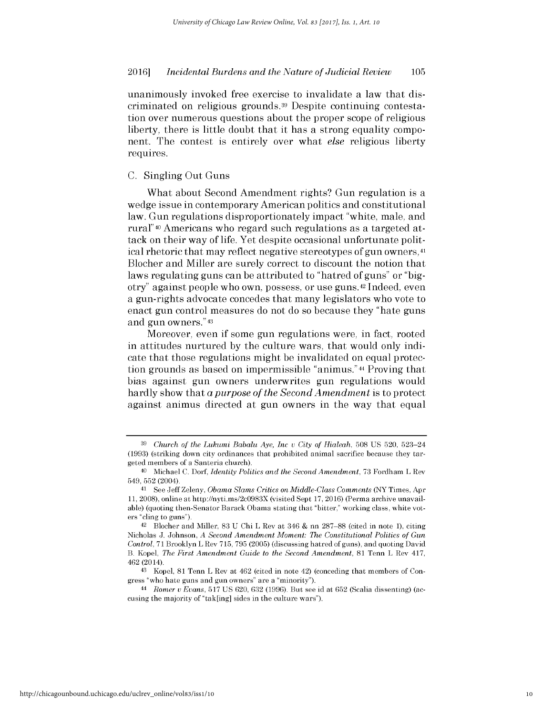unanimously invoked free exercise to invalidate a law that **dis**criminated on religious grounds.39 Despite continuing contestation over numerous questions about the proper scope of religious liberty, there is little doubt that it has a strong equality **compo**nent. The contest is entirely over what *else* religious liberty requires.

### **C.** Singling Out Guns

What about Second Amendment rights? Gun regulation is a wedge issue in contemporary American politics and constitutional law. Gun regulations disproportionately impact "white, male, and rural" 40 Americans who regard such regulations as a targeted attack on their way of life. Yet despite occasional unfortunate political rhetoric that may reflect negative stereotypes of gun owners, <sup>41</sup> Blocher and Miller are surely correct to discount the notion that laws regulating guns can be attributed to "hatred of guns" or **"big**otry" against people who own, possess, or use guns. <sup>42</sup>Indeed, even a gun-rights advocate concedes that many legislators who vote to enact gun control measures do not do so because they "hate guns and gun owners."43

Moreover, even **if** some gun regulations were, in fact, rooted in attitudes nurtured **by** the culture wars, that would only indicate that those regulations might be invalidated on equal protection grounds as based on impermissible "animus."44 Proving that bias against gun owners underwrites gun regulations would hardly show that a *purpose of the Second Amendment is* to protect against animus directed at gun owners in the way that equal

**<sup>39</sup>***Church of the Lukumi Babalu Aye, Inc v City of Hialeah,* **508 US 520,** 523-24 **(1993)** (striking down city ordinances that prohibited animal sacrifice because they targeted members of a Santeria church).

<sup>40</sup>Michael **C.** *Dorf, Identity Politics and the Second Amendment,* **73** Fordham L Rev 549, **552** (2004).

<sup>&</sup>lt;sup>41</sup> See Jeff Zeleny, *Obama Slams Critics on Middle-Class Comments* (NY Times, Apr **11, 2008),** online at http://nyti.ms/2cO983X (visited Sept **17,** 2016) (Perma archive unavailable) (quoting then-Senator Barack Obama stating that "bitter," working class, white voters "cling to guns").

<sup>42</sup>Blocher and Miller, **83 U** Chi L Rev at 346 **&** nn **287-88** (cited in note **1),** citing Nicholas **J.** Johnson, *A Second Amendment Moment: The Constitutional Politics of Gun Control,* **71** Brooklyn L Rev **715, 795 (2005)** (discussing hatred of guns), and quoting David B. Kopel, *The First Amendment Guide to the Second Amendment,* **81** Tenn L Rev 417, 462 (2014).

<sup>43</sup> Kopel, **81** Tenn L Rev at 462 (cited in note 42) (conceding that members of Congress "who hate guns and gun owners" are a "minority").

<sup>44</sup> *Romer v Evans,* **517 US** 620, **632 (1996).** But see id at **652** (Scalia dissenting) (accusing the majority of "tak[ing] sides in the culture wars").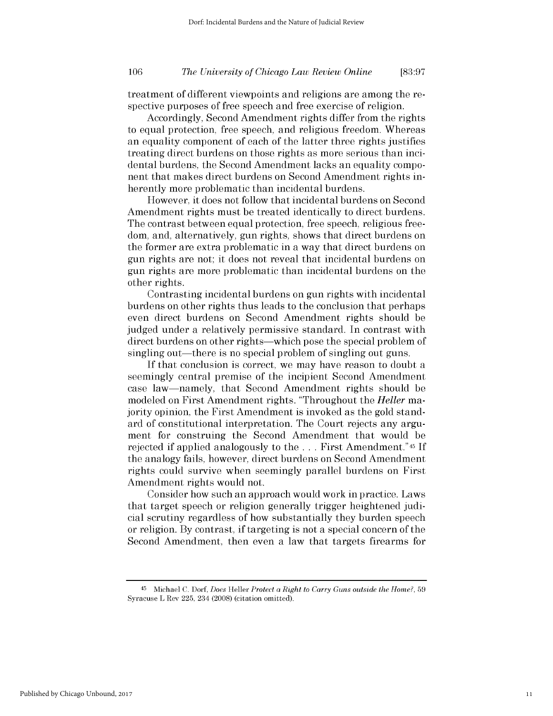# *The University of Chicago Law Review Online* **106 [83:97**

treatment of different viewpoints and religions are among the respective purposes of free speech and free exercise of religion.

Accordingly, Second Amendment rights differ from the rights to equal protection, free speech, and religious freedom. Whereas an equality component of each of the latter three rights justifies treating direct burdens on those rights as more serious than incidental burdens, the Second Amendment lacks an equality component that makes direct burdens on Second Amendment rights inherently more problematic than incidental burdens.

However, it does not follow that incidental burdens on Second Amendment rights must be treated identically to direct burdens. The contrast between equal protection, free speech, religious freedom, and, alternatively, gun rights, shows that direct burdens on the former are extra problematic in a way that direct burdens on gun rights are not; it does not reveal that incidental burdens on gun rights are more problematic than incidental burdens on the other rights.

Contrasting incidental burdens on gun rights with incidental burdens on other rights thus leads to the conclusion that perhaps even direct burdens on Second Amendment rights should be judged under a relatively permissive standard. In contrast with direct burdens on other rights-which pose the special problem of singling out—there is no special problem of singling out guns.

**If** that conclusion is correct, we may have reason to doubt a seemingly central premise of the incipient Second Amendment case law-namely, that Second Amendment rights should be modeled on First Amendment rights. "Throughout the *Heller* majority opinion, the First Amendment is invoked as the gold standard of constitutional interpretation. The Court rejects any argument for construing the Second Amendment that would be rejected **if** applied analogously to the **.** . **.** First Amendment."45 **If** the analogy fails, however, direct burdens on Second Amendment rights could survive when seemingly parallel burdens on First Amendment rights would not.

Consider how such an approach would work in practice. Laws that target speech or religion generally trigger heightened judicial scrutiny regardless of how substantially they burden speech or religion. **By** contrast, **if** targeting is not a special concern of the Second Amendment, then even a law that targets firearms for

<sup>45</sup>Michael **C.** *Dorf, Does Heller Protect a Right to Carry Guns outside the Home?,* **59** Syracuse L Rev **225,** 234 **(2008)** (citation omitted).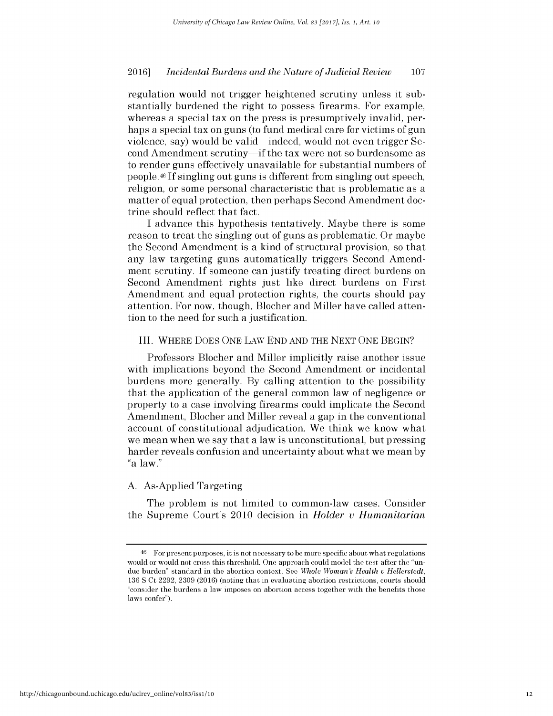regulation would not trigger heightened scrutiny unless it substantially burdened the right to possess firearms. For example, whereas a special tax on the press is presumptively invalid, perhaps a special tax on guns (to fund medical care for victims of gun violence, say) would be valid—indeed, would not even trigger Second Amendment scrutiny—if the tax were not so burdensome as to render guns effectively unavailable for substantial numbers of people.46 **If** singling out guns is different from singling out speech, religion, or some personal characteristic that is problematic as a matter of equal protection, then perhaps Second Amendment doctrine should reflect that fact.

**I** advance this hypothesis tentatively. Maybe there **is** some reason to treat the singling out of guns as problematic. Or maybe the Second Amendment is a kind of structural provision, so that any law targeting guns automatically triggers Second Amendment scrutiny. **If** someone can justify treating direct burdens on Second Amendment rights just like direct burdens on First Amendment and equal protection rights, the courts should pay attention. For now, though, Blocher and Miller have called attention to the need for such a justification.

# III. WHERE **DOES ONE** LAW **END AND** THE **NEXT ONE BEGIN?**

Professors Blocher and Miller implicitly raise another issue with implications beyond the Second Amendment or incidental burdens more generally. **By** calling attention to the possibility that the application of the general common law of negligence or property to a case involving firearms could implicate the Second Amendment, Blocher and Miller reveal a gap in the conventional account of constitutional adjudication. We think we know what we mean when we say that a law is unconstitutional, but pressing harder reveals confusion and uncertainty about what we mean **by** "a law."

### **A.** As-Applied Targeting

The problem is not limited to common-law cases. Consider the Supreme Court's 2010 decision in *Holder v Humanitarian*

<sup>46</sup> For present purposes, it is not necessary to **be** more specific about what regulations would or would not cross this threshold. One approach could model the test after the "undue burden" standard in the abortion context. **See** *Whole Woman's Health V Hellerstedt,* **136 S** Ct **2292, 2309** (2016) (noting that in evaluating abortion restrictions, courts should "consider the burdens a law imposes on abortion access together with the benefits those laws confer").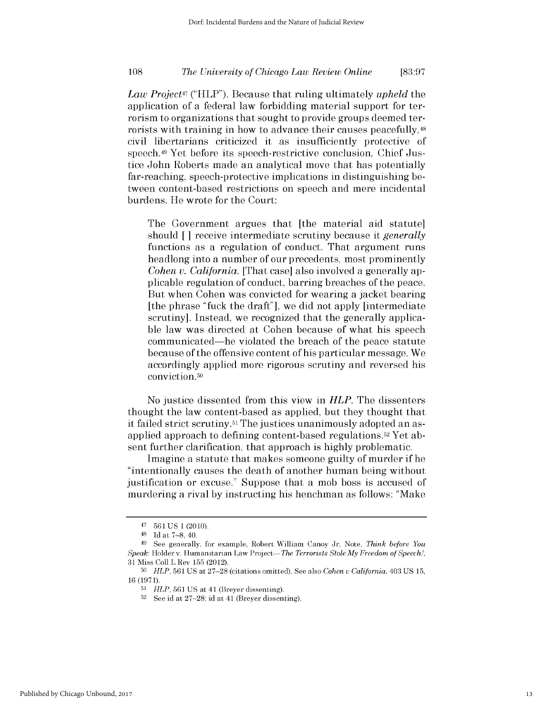# *The University of Chicago Law Review Online* **108 [83:97**

*Law Project47* ("HLP"). Because that ruling ultimately *upheld the* application of a federal law forbidding material support for terrorism to organizations that sought to provide groups deemed terrorists with training in how to advance their causes peacefully,<sup>48</sup> civil libertarians criticized it as insufficiently protective of speech.49 Yet before its speech-restrictive conclusion, Chief Justice John Roberts made an analytical move that has potentially far-reaching, speech-protective implications in distinguishing between content-based restrictions on speech and mere incidental burdens. He wrote for the Court:

The Government argues that [the material aid statute] should **[ ]** receive intermediate scrutiny because it *generally* functions as a regulation of conduct. That argument runs headlong into a number of our precedents, most prominently *Cohen v. California.* [That case] also involved a generally applicable regulation of conduct, barring breaches of the peace. But when Cohen was convicted for wearing a jacket bearing [the phrase "fuck the draft"], we **did** not apply [intermediate scrutiny]. Instead, we recognized that the generally applicable law was directed at Cohen because of what his speech communicated-he violated the breach of the peace statute because of the offensive content of his particular message. We accordingly applied more rigorous scrutiny and reversed his conviction.50

No justice dissented from this view in *HLP.* The dissenters thought the law content-based as applied, but they thought that it failed strict scrutiny.51 The justices unanimously adopted an asapplied approach to defining content-based regulations.52 Yet absent further clarification, that approach is **highly** problematic.

Imagine a statute that makes someone guilty of murder **if** he "intentionally causes the death of another human being without justification or excuse." Suppose that a mob boss is accused of murdering a rival **by** instructing his henchman as follows: "Make

<sup>47</sup>**561 US 1 (2010).**

<sup>48</sup>**Id** at **7-8,** 40.

<sup>49</sup>**See** generally, for example, Robert William Canoy Jr, Note, *Think before You Speak:* Holderv. Humanitarian Law Project-The *Terrorists StoleMy Freedom of Speech!,* **31** Miss Coll L Rev **155** (2012).

**<sup>50</sup>***HLP,* **561 US** at **27-28** (citations omitted). **See** also *Cohen u California,* 403 **US 15, 16 (1971).**

**<sup>51</sup>***HLP,* **561 US** at 41 (Breyer dissenting).

**<sup>52</sup>**See id at **27-28;** id at 41 (Breyer dissenting).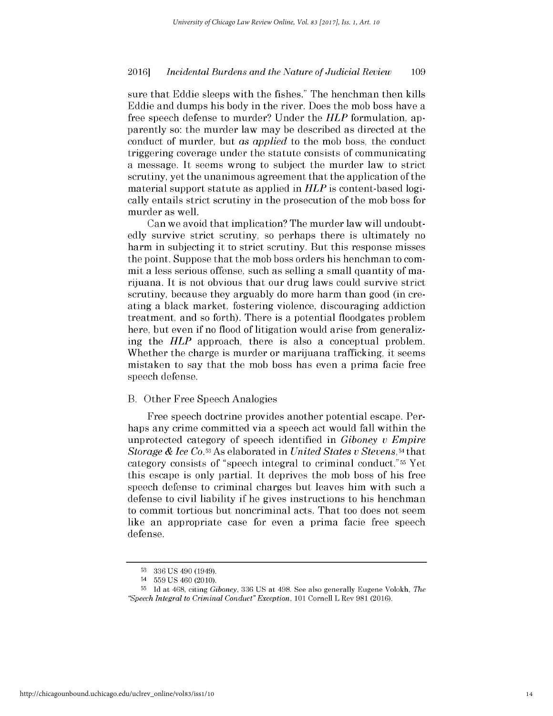sure that Eddie sleeps with the fishes." The henchman then kills Eddie and dumps his body in the river. Does the mob boss have a free speech defense to murder? Under the *HLP* formulation, apparently so: the murder law may be described as directed at the conduct of murder, but *as applied* to the mob boss, the conduct triggering coverage under the statute consists of communicating a message. It seems wrong to subject the murder law to strict scrutiny, yet the unanimous agreement that the application of the material support statute as applied in *HLP is* content-based logically entails strict scrutiny in the prosecution of the mob boss for murder as well.

Can we avoid that implication? The murder law will undoubtedly survive strict scrutiny, so perhaps there is ultimately no harm in subjecting it to strict scrutiny. But this response misses the point. Suppose that the mob boss orders his henchman to commit a less serious offense, such as selling a small quantity of marijuana. It is not obvious that our drug laws could survive strict scrutiny, because they arguably do more harm than good (in creating a black market, fostering violence, discouraging addiction treatment, and so forth). There is a potential floodgates problem here, but even **if** no flood of litigation would arise from generalizing the *HLP* approach, there is also a conceptual problem. Whether the charge is murder or marijuana trafficking, it seems mistaken to say that the mob boss has even a prima facie free speech defense.

### B. Other Free Speech Analogies

Free speech doctrine provides another potential escape. Perhaps any crime committed via a speech act would fall within the unprotected category of speech identified in *Giboney v Empire Storage & Ice Co.53As* elaborated in *United States v Stevens,54that* category consists of "speech integral to criminal conduct."55 Yet this escape is only partial. It deprives the mob boss of his free speech defense to criminal charges but leaves him with such a defense to civil liability **if** he gives instructions to his henchman to commit tortious but noncriminal acts. That too does not seem like an appropriate case for even a prima facie free speech defense.

**<sup>53</sup>336 US** 490 (1949).

<sup>54 559</sup> US 460 (2010).

**<sup>55</sup>Id** at 468, citing *Giboney,* 336 **US** at 498. **See** also generally Eugene Volokh, *The "Speech Integral to Criminal Conduct" Exception, 101* Cornell L Rev **981** (2016).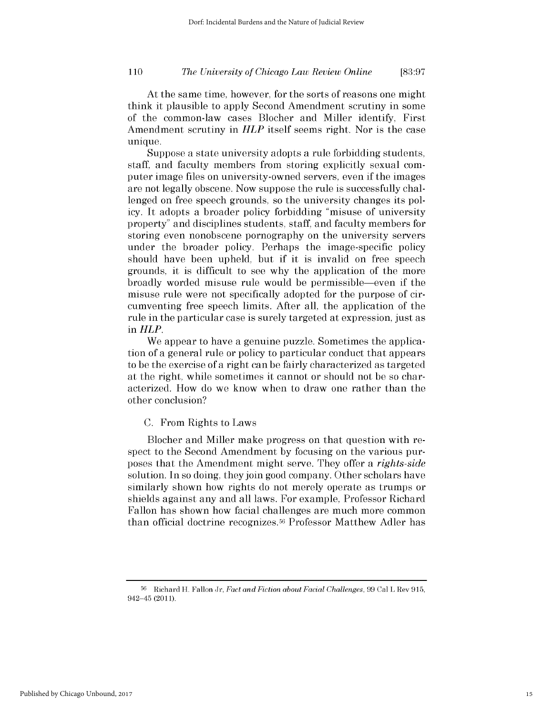*The University of Chicago Law Review Online* **110 [83:97**

At the same time, however, for the sorts of reasons one might think it plausible to apply Second Amendment scrutiny in some of the common-law cases Blocher and Miller identify, First Amendment scrutiny in *HLP* itself seems right. Nor is the case unique.

Suppose a state university adopts a rule forbidding students, staff, and faculty members from storing explicitly sexual computer image files on university-owned servers, even **if** the images are not legally obscene. Now suppose the rule is successfully challenged on free speech grounds, so the university changes its policy. It adopts a broader policy forbidding "misuse of university property" and disciplines students, staff, and faculty members for storing even nonobscene pornography on the university servers under the broader policy. Perhaps the image-specific policy should have been upheld, but **if** it is invalid on free speech grounds, it is difficult to see why the application of the more broadly worded misuse rule would be permissible-even **if** the misuse rule were not specifically adopted for the purpose of circumventing free speech limits. After all, the application of the rule in the particular case is surely targeted at expression, just as in *HLP.*

We appear to have a genuine puzzle. Sometimes the application of a general rule or policy to particular conduct that appears to be the exercise of a right can be fairly characterized as targeted at the right, while sometimes it cannot or should not be so characterized. How do we know when to draw one rather than the other conclusion?

### **C.** From Rights to Laws

Blocher and Miller make progress on that question with respect to the Second Amendment **by** focusing on the various purposes that the Amendment might serve. They offer a *rights-side* solution. In so doing, they join good company. Other scholars have similarly shown how rights do not merely operate as trumps or shields against any and all laws. For example, Professor Richard Fallon has shown how facial challenges are much more common than official doctrine recognizes.56 Professor Matthew Adler has

**<sup>56</sup>**Richard H. Fallon Jr, *Fact and Fiction about Facial Challenges, 99* CalL Rev **915,** 942-45 (2011).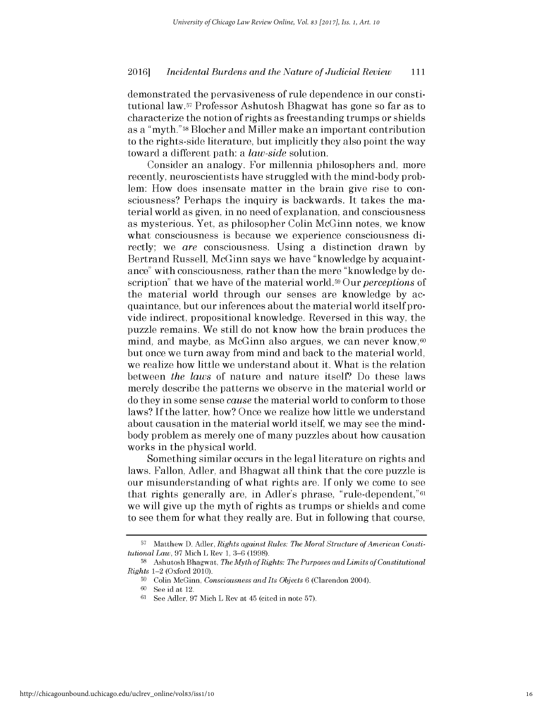demonstrated the pervasiveness of rule dependence in our constitutional law.57 Professor Ashutosh Bhagwat has gone so far as to characterize the notion of rights as freestanding trumps or shields as a "myth." 58 Blocher and Miller make an important contribution to the rights-side literature, but implicitly they also point the way toward a different path: a *law-side* solution.

Consider an analogy. For millennia philosophers and, more recently, neuroscientists have struggled with the mind-body problem: How does insensate matter in the brain give rise to consciousness? Perhaps the inquiry is backwards. It takes the material world as given, in no need of explanation, and consciousness as mysterious. Yet, as philosopher Colin McGinn notes, we know what consciousness is because we experience consciousness **di**rectly; we *are* consciousness. Using a distinction drawn **by** Bertrand Russell, McGinn says we have "knowledge **by** acquaintance" with consciousness, rather than the mere "knowledge **by** description" that we have of the material world. 9 Our *perceptions* of the material world through our senses are knowledge **by** acquaintance, but our inferences about the material world itself provide indirect, propositional knowledge. Reversed in this way, the puzzle remains. We still do not know how the brain produces the mind, and maybe, as McGinn also argues, we can never know, $60$ but once we turn away from mind and back to the material world, we realize how little we understand about it. What is the relation between *the laws* of nature and nature itself? Do these laws merely describe the patterns we observe in the material world or do they in some sense *cause* the material world to conform to those laws? **If** the latter, how? Once we realize how little we understand about causation in the material world itself, we may see the mindbody problem as merely one of many puzzles about how causation works in the physical world.

Something similar occurs in the legal literature on rights and laws. Fallon, Adler, and Bhagwat all think that the core puzzle **is** our misunderstanding of what rights are. **If** only we come to see that rights generally are, in Adler's phrase, "rule-dependent,"61 we will give up the myth of rights as trumps or shields and come to see them for what they really are. But in following that course,

**<sup>57</sup>** Matthew **D.** Adler, *Rights against Rules: The Moral Structure of American Constitutional Law,* **97** Mich L Rev **1, 3-6 (1998).**

**<sup>58</sup>**Ashutosh Bhagwat, *The Myth of Rights: The Purposes andLimits of Constitutional Rights* 1-2 (Oxford 2010).

**<sup>59</sup>**Colin McGinn, *Consciousness and Its Objects* **6** (Clarendon 2004).

**<sup>60</sup>See** id at 12.

**<sup>61</sup>See** Adler, **97** Mich L Rev at 45 (cited in note **57).**